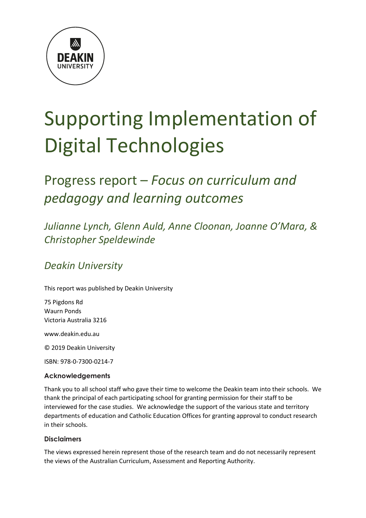

# Supporting Implementation of Digital Technologies

## Progress report – *Focus on curriculum and pedagogy and learning outcomes*

*Julianne Lynch, Glenn Auld, Anne Cloonan, Joanne O'Mara, & Christopher Speldewinde* 

### *Deakin University*

This report was published by Deakin University

75 Pigdons Rd Waurn Ponds Victoria Australia 3216

[www.deakin.edu.au](http://www.deakin.edu.au/)

© 2019 Deakin University

ISBN: 978-0-7300-0214-7

#### **Acknowledgements**

Thank you to all school staff who gave their time to welcome the Deakin team into their schools. We thank the principal of each participating school for granting permission for their staff to be interviewed for the case studies. We acknowledge the support of the various state and territory departments of education and Catholic Education Offices for granting approval to conduct research in their schools.

#### **Disclaimers**

The views expressed herein represent those of the research team and do not necessarily represent the views of the Australian Curriculum, Assessment and Reporting Authority.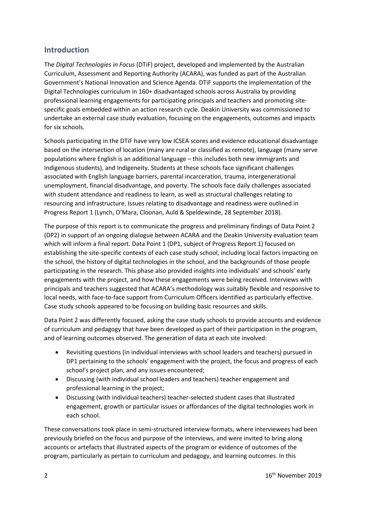#### **Introduction**

The *Digital Technologies in Focus* (DTiF) project, developed and implemented by the Australian Curriculum, Assessment and Reporting Authority (ACARA), was funded as part of the Australian Government's National Innovation and Science Agenda. DTiF supports the implementation of the Digital Technologies curriculum in 160+ disadvantaged schools across Australia by providing professional learning engagements for participating principals and teachers and promoting sitespecific goals embedded within an action research cycle. Deakin University was commissioned to undertake an external case study evaluation, focusing on the engagements, outcomes and impacts for six schools.

Schools participating in the DTiF have very low ICSEA scores and evidence educational disadvantage based on the intersection of location (many are rural or classified as remote), language (many serve populations where English is an additional language – this includes both new immigrants and Indigenous students), and Indigeneity. Students at these schools face significant challenges associated with English language barriers, parental incarceration, trauma, intergenerational unemployment, financial disadvantage, and poverty. The schools face daily challenges associated with student attendance and readiness to learn, as well as structural challenges relating to resourcing and infrastructure. Issues relating to disadvantage and readiness were outlined in Progress Report 1 (Lynch, O'Mara, Cloonan, Auld & Speldewinde, 28 September 2018).

The purpose of this report is to communicate the progress and preliminary findings of Data Point 2 (DP2) in support of an ongoing dialogue between ACARA and the Deakin University evaluation team which will inform a final report. Data Point 1 (DP1, subject of Progress Report 1) focused on establishing the site-specific contexts of each case study school, including local factors impacting on the school, the history of digital technologies in the school, and the backgrounds of those people participating in the research. This phase also provided insights into individuals' and schools' early engagements with the project, and how these engagements were being received. Interviews with principals and teachers suggested that ACARA's methodology was suitably flexible and responsive to local needs, with face-to-face support from Curriculum Officers identified as particularly effective. Case study schools appeared to be focusing on building basic resources and skills.

Data Point 2 was differently focused, asking the case study schools to provide accounts and evidence of curriculum and pedagogy that have been developed as part of their participation in the program, and of learning outcomes observed. The generation of data at each site involved:

- Revisiting questions (in individual interviews with school leaders and teachers) pursued in DP1 pertaining to the schools' engagement with the project, the focus and progress of each school's project plan, and any issues encountered;
- Discussing (with individual school leaders and teachers) teacher engagement and professional learning in the project;
- Discussing (with individual teachers) teacher-selected student cases that illustrated engagement, growth or particular issues or affordances of the digital technologies work in each school.

These conversations took place in semi-structured interview formats, where interviewees had been previously briefed on the focus and purpose of the interviews, and were invited to bring along accounts or artefacts that illustrated aspects of the program or evidence of outcomes of the program, particularly as pertain to curriculum and pedagogy, and learning outcomes. In this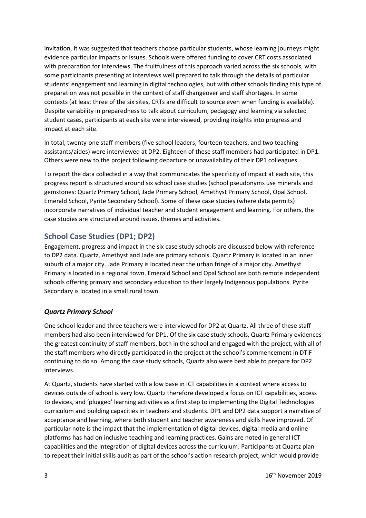invitation, it was suggested that teachers choose particular students, whose learning journeys might evidence particular impacts or issues. Schools were offered funding to cover CRT costs associated with preparation for interviews. The fruitfulness of this approach varied across the six schools, with some participants presenting at interviews well prepared to talk through the details of particular students' engagement and learning in digital technologies, but with other schools finding this type of preparation was not possible in the context of staff changeover and staff shortages. In some contexts (at least three of the six sites, CRTs are difficult to source even when funding is available). Despite variability in preparedness to talk about curriculum, pedagogy and learning via selected student cases, participants at each site were interviewed, providing insights into progress and impact at each site.

In total, twenty-one staff members (five school leaders, fourteen teachers, and two teaching assistants/aides) were interviewed at DP2. Eighteen of these staff members had participated in DP1. Others were new to the project following departure or unavailability of their DP1 colleagues.

To report the data collected in a way that communicates the specificity of impact at each site, this progress report is structured around six school case studies (school pseudonyms use minerals and gemstones: Quartz Primary School, Jade Primary School, Amethyst Primary School, Opal School, Emerald School, Pyrite Secondary School). Some of these case studies (where data permits) incorporate narratives of individual teacher and student engagement and learning. For others, the case studies are structured around issues, themes and activities.

#### **School Case Studies (DP1; DP2)**

Engagement, progress and impact in the six case study schools are discussed below with reference to DP2 data. Quartz, Amethyst and Jade are primary schools. Quartz Primary is located in an inner suburb of a major city. Jade Primary is located near the urban fringe of a major city. Amethyst Primary is located in a regional town. Emerald School and Opal School are both remote independent schools offering primary and secondary education to their largely Indigenous populations. Pyrite Secondary is located in a small rural town.

#### *Quartz Primary School*

One school leader and three teachers were interviewed for DP2 at Quartz. All three of these staff members had also been interviewed for DP1. Of the six case study schools, Quartz Primary evidences the greatest continuity of staff members, both in the school and engaged with the project, with all of the staff members who directly participated in the project at the school's commencement in DTiF continuing to do so. Among the case study schools, Quartz also were best able to prepare for DP2 interviews.

At Quartz, students have started with a low base in ICT capabilities in a context where access to devices outside of school is very low. Quartz therefore developed a focus on ICT capabilities, access to devices, and 'plugged' learning activities as a first step to implementing the Digital Technologies curriculum and building capacities in teachers and students. DP1 and DP2 data support a narrative of acceptance and learning, where both student and teacher awareness and skills have improved. Of particular note is the impact that the implementation of digital devices, digital media and online platforms has had on inclusive teaching and learning practices. Gains are noted in general ICT capabilities and the integration of digital devices across the curriculum. Participants at Quartz plan to repeat their initial skills audit as part of the school's action research project, which would provide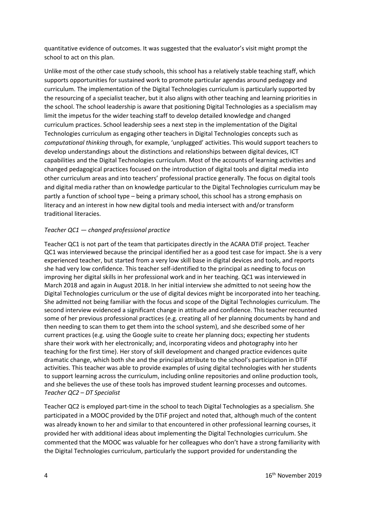quantitative evidence of outcomes. It was suggested that the evaluator's visit might prompt the school to act on this plan.

Unlike most of the other case study schools, this school has a relatively stable teaching staff, which supports opportunities for sustained work to promote particular agendas around pedagogy and curriculum. The implementation of the Digital Technologies curriculum is particularly supported by the resourcing of a specialist teacher, but it also aligns with other teaching and learning priorities in the school. The school leadership is aware that positioning Digital Technologies as a specialism may limit the impetus for the wider teaching staff to develop detailed knowledge and changed curriculum practices. School leadership sees a next step in the implementation of the Digital Technologies curriculum as engaging other teachers in Digital Technologies concepts such as *computational thinking* through, for example, 'unplugged' activities. This would support teachers to develop understandings about the distinctions and relationships between digital devices, ICT capabilities and the Digital Technologies curriculum. Most of the accounts of learning activities and changed pedagogical practices focused on the introduction of digital tools and digital media into other curriculum areas and into teachers' professional practice generally. The focus on digital tools and digital media rather than on knowledge particular to the Digital Technologies curriculum may be partly a function of school type – being a primary school, this school has a strong emphasis on literacy and an interest in how new digital tools and media intersect with and/or transform traditional literacies.

#### *Teacher QC1 — changed professional practice*

Teacher QC1 is not part of the team that participates directly in the ACARA DTiF project. Teacher QC1 was interviewed because the principal identified her as a good test case for impact. She is a very experienced teacher, but started from a very low skill base in digital devices and tools, and reports she had very low confidence. This teacher self-identified to the principal as needing to focus on improving her digital skills in her professional work and in her teaching. QC1 was interviewed in March 2018 and again in August 2018. In her initial interview she admitted to not seeing how the Digital Technologies curriculum or the use of digital devices might be incorporated into her teaching. She admitted not being familiar with the focus and scope of the Digital Technologies curriculum. The second interview evidenced a significant change in attitude and confidence. This teacher recounted some of her previous professional practices (e.g. creating all of her planning documents by hand and then needing to scan them to get them into the school system), and she described some of her current practices (e.g. using the Google suite to create her planning docs; expecting her students share their work with her electronically; and, incorporating videos and photography into her teaching for the first time). Her story of skill development and changed practice evidences quite dramatic change, which both she and the principal attribute to the school's participation in DTiF activities. This teacher was able to provide examples of using digital technologies with her students to support learning across the curriculum, including online repositories and online production tools, and she believes the use of these tools has improved student learning processes and outcomes. *Teacher QC2 – DT Specialist*

Teacher QC2 is employed part-time in the school to teach Digital Technologies as a specialism. She participated in a MOOC provided by the DTiF project and noted that, although much of the content was already known to her and similar to that encountered in other professional learning courses, it provided her with additional ideas about implementing the Digital Technologies curriculum. She commented that the MOOC was valuable for her colleagues who don't have a strong familiarity with the Digital Technologies curriculum, particularly the support provided for understanding the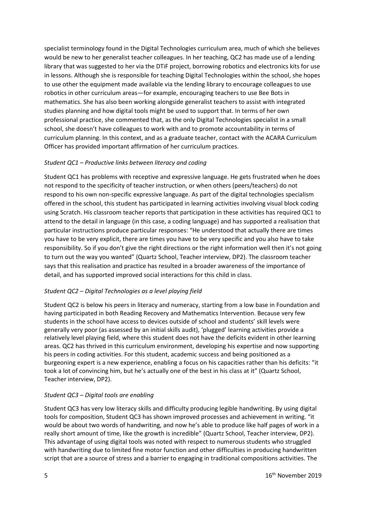specialist terminology found in the Digital Technologies curriculum area, much of which she believes would be new to her generalist teacher colleagues. In her teaching, QC2 has made use of a lending library that was suggested to her via the DTiF project, borrowing robotics and electronics kits for use in lessons. Although she is responsible for teaching Digital Technologies within the school, she hopes to use other the equipment made available via the lending library to encourage colleagues to use robotics in other curriculum areas—for example, encouraging teachers to use Bee Bots in mathematics. She has also been working alongside generalist teachers to assist with integrated studies planning and how digital tools might be used to support that. In terms of her own professional practice, she commented that, as the only Digital Technologies specialist in a small school, she doesn't have colleagues to work with and to promote accountability in terms of curriculum planning. In this context, and as a graduate teacher, contact with the ACARA Curriculum Officer has provided important affirmation of her curriculum practices.

#### *Student QC1 – Productive links between literacy and coding*

Student QC1 has problems with receptive and expressive language. He gets frustrated when he does not respond to the specificity of teacher instruction, or when others (peers/teachers) do not respond to his own non-specific expressive language. As part of the digital technologies specialism offered in the school, this student has participated in learning activities involving visual block coding using Scratch. His classroom teacher reports that participation in these activities has required QC1 to attend to the detail in language (in this case, a coding language) and has supported a realisation that particular instructions produce particular responses: "He understood that actually there are times you have to be very explicit, there are times you have to be very specific and you also have to take responsibility. So if you don't give the right directions or the right information well then it's not going to turn out the way you wanted" (Quartz School, Teacher interview, DP2). The classroom teacher says that this realisation and practice has resulted in a broader awareness of the importance of detail, and has supported improved social interactions for this child in class.

#### *Student QC2 – Digital Technologies as a level playing field*

Student QC2 is below his peers in literacy and numeracy, starting from a low base in Foundation and having participated in both Reading Recovery and Mathematics Intervention. Because very few students in the school have access to devices outside of school and students' skill levels were generally very poor (as assessed by an initial skills audit), 'plugged' learning activities provide a relatively level playing field, where this student does not have the deficits evident in other learning areas. QC2 has thrived in this curriculum environment, developing his expertise and now supporting his peers in coding activities. For this student, academic success and being positioned as a burgeoning expert is a new experience, enabling a focus on his capacities rather than his deficits: "it took a lot of convincing him, but he's actually one of the best in his class at it" (Quartz School, Teacher interview, DP2).

#### *Student QC3 – Digital tools are enabling*

Student QC3 has very low literacy skills and difficulty producing legible handwriting. By using digital tools for composition, Student QC3 has shown improved processes and achievement in writing. "it would be about two words of handwriting, and now he's able to produce like half pages of work in a really short amount of time, like the growth is incredible" (Quartz School, Teacher interview, DP2). This advantage of using digital tools was noted with respect to numerous students who struggled with handwriting due to limited fine motor function and other difficulties in producing handwritten script that are a source of stress and a barrier to engaging in traditional compositions activities. The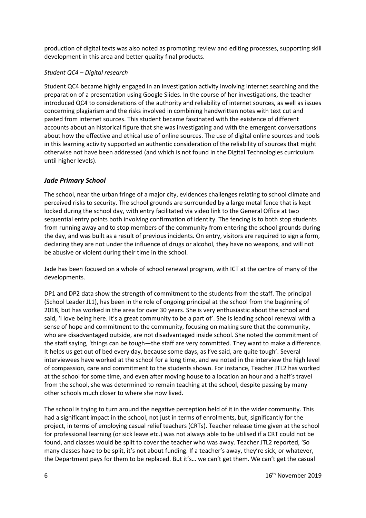production of digital texts was also noted as promoting review and editing processes, supporting skill development in this area and better quality final products.

#### *Student QC4 – Digital research*

Student QC4 became highly engaged in an investigation activity involving internet searching and the preparation of a presentation using Google Slides. In the course of her investigations, the teacher introduced QC4 to considerations of the authority and reliability of internet sources, as well as issues concerning plagiarism and the risks involved in combining handwritten notes with text cut and pasted from internet sources. This student became fascinated with the existence of different accounts about an historical figure that she was investigating and with the emergent conversations about how the effective and ethical use of online sources. The use of digital online sources and tools in this learning activity supported an authentic consideration of the reliability of sources that might otherwise not have been addressed (and which is not found in the Digital Technologies curriculum until higher levels).

#### *Jade Primary School*

The school, near the urban fringe of a major city, evidences challenges relating to school climate and perceived risks to security. The school grounds are surrounded by a large metal fence that is kept locked during the school day, with entry facilitated via video link to the General Office at two sequential entry points both involving confirmation of identity. The fencing is to both stop students from running away and to stop members of the community from entering the school grounds during the day, and was built as a result of previous incidents. On entry, visitors are required to sign a form, declaring they are not under the influence of drugs or alcohol, they have no weapons, and will not be abusive or violent during their time in the school.

Jade has been focused on a whole of school renewal program, with ICT at the centre of many of the developments.

DP1 and DP2 data show the strength of commitment to the students from the staff. The principal (School Leader JL1), has been in the role of ongoing principal at the school from the beginning of 2018, but has worked in the area for over 30 years. She is very enthusiastic about the school and said, 'I love being here. It's a great community to be a part of'. She is leading school renewal with a sense of hope and commitment to the community, focusing on making sure that the community, who are disadvantaged outside, are not disadvantaged inside school. She noted the commitment of the staff saying, 'things can be tough—the staff are very committed. They want to make a difference. It helps us get out of bed every day, because some days, as I've said, are quite tough'. Several interviewees have worked at the school for a long time, and we noted in the interview the high level of compassion, care and commitment to the students shown. For instance, Teacher JTL2 has worked at the school for some time, and even after moving house to a location an hour and a half's travel from the school, she was determined to remain teaching at the school, despite passing by many other schools much closer to where she now lived.

The school is trying to turn around the negative perception held of it in the wider community. This had a significant impact in the school, not just in terms of enrolments, but, significantly for the project, in terms of employing casual relief teachers (CRTs). Teacher release time given at the school for professional learning (or sick leave etc.) was not always able to be utilised if a CRT could not be found, and classes would be split to cover the teacher who was away. Teacher JTL2 reported, 'So many classes have to be split, it's not about funding. If a teacher's away, they're sick, or whatever, the Department pays for them to be replaced. But it's… we can't get them. We can't get the casual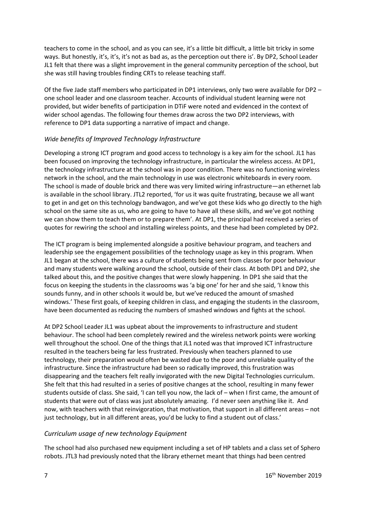teachers to come in the school, and as you can see, it's a little bit difficult, a little bit tricky in some ways. But honestly, it's, it's, it's not as bad as, as the perception out there is'. By DP2, School Leader JL1 felt that there was a slight improvement in the general community perception of the school, but she was still having troubles finding CRTs to release teaching staff.

Of the five Jade staff members who participated in DP1 interviews, only two were available for DP2 – one school leader and one classroom teacher. Accounts of individual student learning were not provided, but wider benefits of participation in DTiF were noted and evidenced in the context of wider school agendas. The following four themes draw across the two DP2 interviews, with reference to DP1 data supporting a narrative of impact and change.

#### *Wide benefits of Improved Technology Infrastructure*

Developing a strong ICT program and good access to technology is a key aim for the school. JL1 has been focused on improving the technology infrastructure, in particular the wireless access. At DP1, the technology infrastructure at the school was in poor condition. There was no functioning wireless network in the school, and the main technology in use was electronic whiteboards in every room. The school is made of double brick and there was very limited wiring infrastructure—an ethernet lab is available in the school library. JTL2 reported, 'for us it was quite frustrating, because we all want to get in and get on this technology bandwagon, and we've got these kids who go directly to the high school on the same site as us, who are going to have to have all these skills, and we've got nothing we can show them to teach them or to prepare them'. At DP1, the principal had received a series of quotes for rewiring the school and installing wireless points, and these had been completed by DP2.

The ICT program is being implemented alongside a positive behaviour program, and teachers and leadership see the engagement possibilities of the technology usage as key in this program. When JL1 began at the school, there was a culture of students being sent from classes for poor behaviour and many students were walking around the school, outside of their class. At both DP1 and DP2, she talked about this, and the positive changes that were slowly happening. In DP1 she said that the focus on keeping the students in the classrooms was 'a big one' for her and she said, 'I know this sounds funny, and in other schools it would be, but we've reduced the amount of smashed windows.' These first goals, of keeping children in class, and engaging the students in the classroom, have been documented as reducing the numbers of smashed windows and fights at the school.

At DP2 School Leader JL1 was upbeat about the improvements to infrastructure and student behaviour. The school had been completely rewired and the wireless network points were working well throughout the school. One of the things that JL1 noted was that improved ICT infrastructure resulted in the teachers being far less frustrated. Previously when teachers planned to use technology, their preparation would often be wasted due to the poor and unreliable quality of the infrastructure. Since the infrastructure had been so radically improved, this frustration was disappearing and the teachers felt really invigorated with the new Digital Technologies curriculum. She felt that this had resulted in a series of positive changes at the school, resulting in many fewer students outside of class. She said, 'I can tell you now, the lack of – when I first came, the amount of students that were out of class was just absolutely amazing. I'd never seen anything like it. And now, with teachers with that reinvigoration, that motivation, that support in all different areas – not just technology, but in all different areas, you'd be lucky to find a student out of class.'

#### *Curriculum usage of new technology Equipment*

The school had also purchased new equipment including a set of HP tablets and a class set of Sphero robots. JTL3 had previously noted that the library ethernet meant that things had been centred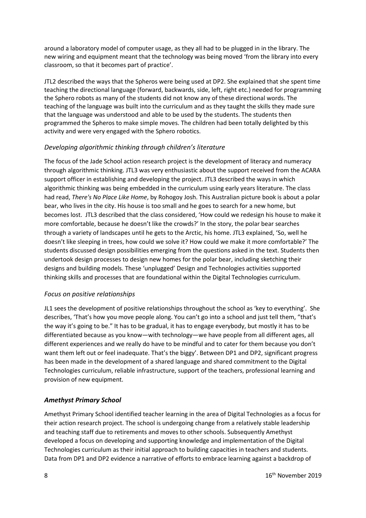around a laboratory model of computer usage, as they all had to be plugged in in the library. The new wiring and equipment meant that the technology was being moved 'from the library into every classroom, so that it becomes part of practice'.

JTL2 described the ways that the Spheros were being used at DP2. She explained that she spent time teaching the directional language (forward, backwards, side, left, right etc.) needed for programming the Sphero robots as many of the students did not know any of these directional words. The teaching of the language was built into the curriculum and as they taught the skills they made sure that the language was understood and able to be used by the students. The students then programmed the Spheros to make simple moves. The children had been totally delighted by this activity and were very engaged with the Sphero robotics.

#### *Developing algorithmic thinking through children's literature*

The focus of the Jade School action research project is the development of literacy and numeracy through algorithmic thinking. JTL3 was very enthusiastic about the support received from the ACARA support officer in establishing and developing the project. JTL3 described the ways in which algorithmic thinking was being embedded in the curriculum using early years literature. The class had read, *There's No Place Like Home*, by Rohogoy Josh. This Australian picture book is about a polar bear, who lives in the city. His house is too small and he goes to search for a new home, but becomes lost. JTL3 described that the class considered, 'How could we redesign his house to make it more comfortable, because he doesn't like the crowds?' In the story, the polar bear searches through a variety of landscapes until he gets to the Arctic, his home. JTL3 explained, 'So, well he doesn't like sleeping in trees, how could we solve it? How could we make it more comfortable?' The students discussed design possibilities emerging from the questions asked in the text. Students then undertook design processes to design new homes for the polar bear, including sketching their designs and building models. These 'unplugged' Design and Technologies activities supported thinking skills and processes that are foundational within the Digital Technologies curriculum.

#### *Focus on positive relationships*

JL1 sees the development of positive relationships throughout the school as 'key to everything'. She describes, 'That's how you move people along. You can't go into a school and just tell them, "that's the way it's going to be." It has to be gradual, it has to engage everybody, but mostly it has to be differentiated because as you know—with technology—we have people from all different ages, all different experiences and we really do have to be mindful and to cater for them because you don't want them left out or feel inadequate. That's the biggy'. Between DP1 and DP2, significant progress has been made in the development of a shared language and shared commitment to the Digital Technologies curriculum, reliable infrastructure, support of the teachers, professional learning and provision of new equipment.

#### *Amethyst Primary School*

Amethyst Primary School identified teacher learning in the area of Digital Technologies as a focus for their action research project. The school is undergoing change from a relatively stable leadership and teaching staff due to retirements and moves to other schools. Subsequently Amethyst developed a focus on developing and supporting knowledge and implementation of the Digital Technologies curriculum as their initial approach to building capacities in teachers and students. Data from DP1 and DP2 evidence a narrative of efforts to embrace learning against a backdrop of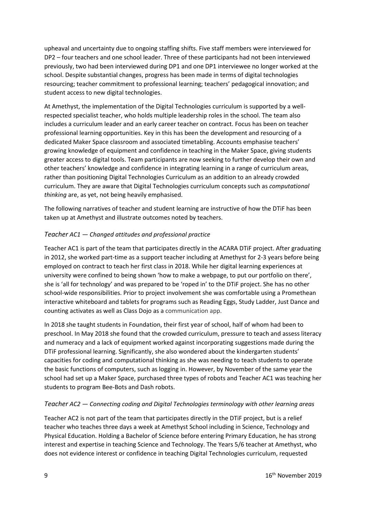upheaval and uncertainty due to ongoing staffing shifts. Five staff members were interviewed for DP2 – four teachers and one school leader. Three of these participants had not been interviewed previously, two had been interviewed during DP1 and one DP1 interviewee no longer worked at the school. Despite substantial changes, progress has been made in terms of digital technologies resourcing; teacher commitment to professional learning; teachers' pedagogical innovation; and student access to new digital technologies.

At Amethyst, the implementation of the Digital Technologies curriculum is supported by a wellrespected specialist teacher, who holds multiple leadership roles in the school. The team also includes a curriculum leader and an early career teacher on contract. Focus has been on teacher professional learning opportunities. Key in this has been the development and resourcing of a dedicated Maker Space classroom and associated timetabling. Accounts emphasise teachers' growing knowledge of equipment and confidence in teaching in the Maker Space, giving students greater access to digital tools. Team participants are now seeking to further develop their own and other teachers' knowledge and confidence in integrating learning in a range of curriculum areas, rather than positioning Digital Technologies Curriculum as an addition to an already crowded curriculum. They are aware that Digital Technologies curriculum concepts such as *computational thinking* are, as yet, not being heavily emphasised.

The following narratives of teacher and student learning are instructive of how the DTiF has been taken up at Amethyst and illustrate outcomes noted by teachers.

#### *Teacher AC1 — Changed attitudes and professional practice*

Teacher AC1 is part of the team that participates directly in the ACARA DTiF project. After graduating in 2012, she worked part-time as a support teacher including at Amethyst for 2-3 years before being employed on contract to teach her first class in 2018. While her digital learning experiences at university were confined to being shown 'how to make a webpage, to put our portfolio on there', she is 'all for technology' and was prepared to be 'roped in' to the DTiF project. She has no other school-wide responsibilities. Prior to project involvement she was comfortable using a Promethean interactive whiteboard and tablets for programs such as Reading Eggs, Study Ladder, Just Dance and counting activates as well as Class Dojo as a communication app.

In 2018 she taught students in Foundation, their first year of school, half of whom had been to preschool. In May 2018 she found that the crowded curriculum, pressure to teach and assess literacy and numeracy and a lack of equipment worked against incorporating suggestions made during the DTiF professional learning. Significantly, she also wondered about the kindergarten students' capacities for coding and computational thinking as she was needing to teach students to operate the basic functions of computers, such as logging in. However, by November of the same year the school had set up a Maker Space, purchased three types of robots and Teacher AC1 was teaching her students to program Bee-Bots and Dash robots.

#### *Teacher AC2 — Connecting coding and Digital Technologies terminology with other learning areas*

Teacher AC2 is not part of the team that participates directly in the DTiF project, but is a relief teacher who teaches three days a week at Amethyst School including in Science, Technology and Physical Education. Holding a Bachelor of Science before entering Primary Education, he has strong interest and expertise in teaching Science and Technology. The Years 5/6 teacher at Amethyst, who does not evidence interest or confidence in teaching Digital Technologies curriculum, requested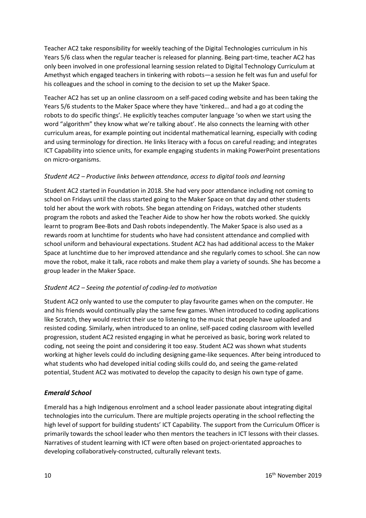Teacher AC2 take responsibility for weekly teaching of the Digital Technologies curriculum in his Years 5/6 class when the regular teacher is released for planning. Being part-time, teacher AC2 has only been involved in one professional learning session related to Digital Technology Curriculum at Amethyst which engaged teachers in tinkering with robots—a session he felt was fun and useful for his colleagues and the school in coming to the decision to set up the Maker Space.

Teacher AC2 has set up an online classroom on a self-paced coding website and has been taking the Years 5/6 students to the Maker Space where they have 'tinkered… and had a go at coding the robots to do specific things'. He explicitly teaches computer language 'so when we start using the word "algorithm" they know what we're talking about'. He also connects the learning with other curriculum areas, for example pointing out incidental mathematical learning, especially with coding and using terminology for direction. He links literacy with a focus on careful reading; and integrates ICT Capability into science units, for example engaging students in making PowerPoint presentations on micro‑organisms.

#### *Student AC2 – Productive links between attendance, access to digital tools and learning*

Student AC2 started in Foundation in 2018. She had very poor attendance including not coming to school on Fridays until the class started going to the Maker Space on that day and other students told her about the work with robots. She began attending on Fridays, watched other students program the robots and asked the Teacher Aide to show her how the robots worked. She quickly learnt to program Bee-Bots and Dash robots independently. The Maker Space is also used as a rewards room at lunchtime for students who have had consistent attendance and complied with school uniform and behavioural expectations. Student AC2 has had additional access to the Maker Space at lunchtime due to her improved attendance and she regularly comes to school. She can now move the robot, make it talk, race robots and make them play a variety of sounds. She has become a group leader in the Maker Space.

#### *Student AC2 – Seeing the potential of coding-led to motivation*

Student AC2 only wanted to use the computer to play favourite games when on the computer. He and his friends would continually play the same few games. When introduced to coding applications like Scratch, they would restrict their use to listening to the music that people have uploaded and resisted coding. Similarly, when introduced to an online, self-paced coding classroom with levelled progression, student AC2 resisted engaging in what he perceived as basic, boring work related to coding, not seeing the point and considering it too easy. Student AC2 was shown what students working at higher levels could do including designing game-like sequences. After being introduced to what students who had developed initial coding skills could do, and seeing the game-related potential, Student AC2 was motivated to develop the capacity to design his own type of game.

#### *Emerald School*

Emerald has a high Indigenous enrolment and a school leader passionate about integrating digital technologies into the curriculum. There are multiple projects operating in the school reflecting the high level of support for building students' ICT Capability. The support from the Curriculum Officer is primarily towards the school leader who then mentors the teachers in ICT lessons with their classes. Narratives of student learning with ICT were often based on project-orientated approaches to developing collaboratively-constructed, culturally relevant texts.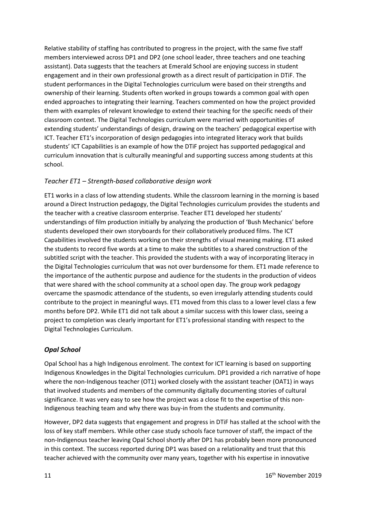Relative stability of staffing has contributed to progress in the project, with the same five staff members interviewed across DP1 and DP2 (one school leader, three teachers and one teaching assistant). Data suggests that the teachers at Emerald School are enjoying success in student engagement and in their own professional growth as a direct result of participation in DTiF. The student performances in the Digital Technologies curriculum were based on their strengths and ownership of their learning. Students often worked in groups towards a common goal with open ended approaches to integrating their learning. Teachers commented on how the project provided them with examples of relevant knowledge to extend their teaching for the specific needs of their classroom context. The Digital Technologies curriculum were married with opportunities of extending students' understandings of design, drawing on the teachers' pedagogical expertise with ICT. Teacher ET1's incorporation of design pedagogies into integrated literacy work that builds students' ICT Capabilities is an example of how the DTiF project has supported pedagogical and curriculum innovation that is culturally meaningful and supporting success among students at this school.

#### *Teacher ET1 – Strength-based collaborative design work*

ET1 works in a class of low attending students. While the classroom learning in the morning is based around a Direct Instruction pedagogy, the Digital Technologies curriculum provides the students and the teacher with a creative classroom enterprise. Teacher ET1 developed her students' understandings of film production initially by analyzing the production of 'Bush Mechanics' before students developed their own storyboards for their collaboratively produced films. The ICT Capabilities involved the students working on their strengths of visual meaning making. ET1 asked the students to record five words at a time to make the subtitles to a shared construction of the subtitled script with the teacher. This provided the students with a way of incorporating literacy in the Digital Technologies curriculum that was not over burdensome for them. ET1 made reference to the importance of the authentic purpose and audience for the students in the production of videos that were shared with the school community at a school open day. The group work pedagogy overcame the spasmodic attendance of the students, so even irregularly attending students could contribute to the project in meaningful ways. ET1 moved from this class to a lower level class a few months before DP2. While ET1 did not talk about a similar success with this lower class, seeing a project to completion was clearly important for ET1's professional standing with respect to the Digital Technologies Curriculum.

#### *Opal School*

Opal School has a high Indigenous enrolment. The context for ICT learning is based on supporting Indigenous Knowledges in the Digital Technologies curriculum. DP1 provided a rich narrative of hope where the non-Indigenous teacher (OT1) worked closely with the assistant teacher (OAT1) in ways that involved students and members of the community digitally documenting stories of cultural significance. It was very easy to see how the project was a close fit to the expertise of this non-Indigenous teaching team and why there was buy-in from the students and community.

However, DP2 data suggests that engagement and progress in DTiF has stalled at the school with the loss of key staff members. While other case study schools face turnover of staff, the impact of the non-Indigenous teacher leaving Opal School shortly after DP1 has probably been more pronounced in this context. The success reported during DP1 was based on a relationality and trust that this teacher achieved with the community over many years, together with his expertise in innovative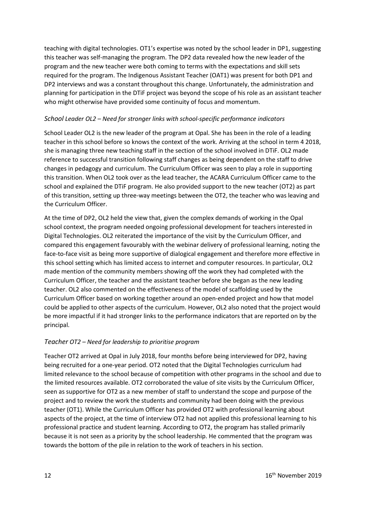teaching with digital technologies. OT1's expertise was noted by the school leader in DP1, suggesting this teacher was self-managing the program. The DP2 data revealed how the new leader of the program and the new teacher were both coming to terms with the expectations and skill sets required for the program. The Indigenous Assistant Teacher (OAT1) was present for both DP1 and DP2 interviews and was a constant throughout this change. Unfortunately, the administration and planning for participation in the DTiF project was beyond the scope of his role as an assistant teacher who might otherwise have provided some continuity of focus and momentum.

#### *School Leader OL2 – Need for stronger links with school-specific performance indicators*

School Leader OL2 is the new leader of the program at Opal. She has been in the role of a leading teacher in this school before so knows the context of the work. Arriving at the school in term 4 2018, she is managing three new teaching staff in the section of the school involved in DTiF. OL2 made reference to successful transition following staff changes as being dependent on the staff to drive changes in pedagogy and curriculum. The Curriculum Officer was seen to play a role in supporting this transition. When OL2 took over as the lead teacher, the ACARA Curriculum Officer came to the school and explained the DTiF program. He also provided support to the new teacher (OT2) as part of this transition, setting up three-way meetings between the OT2, the teacher who was leaving and the Curriculum Officer.

At the time of DP2, OL2 held the view that, given the complex demands of working in the Opal school context, the program needed ongoing professional development for teachers interested in Digital Technologies. OL2 reiterated the importance of the visit by the Curriculum Officer, and compared this engagement favourably with the webinar delivery of professional learning, noting the face-to-face visit as being more supportive of dialogical engagement and therefore more effective in this school setting which has limited access to internet and computer resources. In particular, OL2 made mention of the community members showing off the work they had completed with the Curriculum Officer, the teacher and the assistant teacher before she began as the new leading teacher. OL2 also commented on the effectiveness of the model of scaffolding used by the Curriculum Officer based on working together around an open-ended project and how that model could be applied to other aspects of the curriculum. However, OL2 also noted that the project would be more impactful if it had stronger links to the performance indicators that are reported on by the principal.

#### *Teacher OT2 – Need for leadership to prioritise program*

Teacher OT2 arrived at Opal in July 2018, four months before being interviewed for DP2, having being recruited for a one-year period. OT2 noted that the Digital Technologies curriculum had limited relevance to the school because of competition with other programs in the school and due to the limited resources available. OT2 corroborated the value of site visits by the Curriculum Officer, seen as supportive for OT2 as a new member of staff to understand the scope and purpose of the project and to review the work the students and community had been doing with the previous teacher (OT1). While the Curriculum Officer has provided OT2 with professional learning about aspects of the project, at the time of interview OT2 had not applied this professional learning to his professional practice and student learning. According to OT2, the program has stalled primarily because it is not seen as a priority by the school leadership. He commented that the program was towards the bottom of the pile in relation to the work of teachers in his section.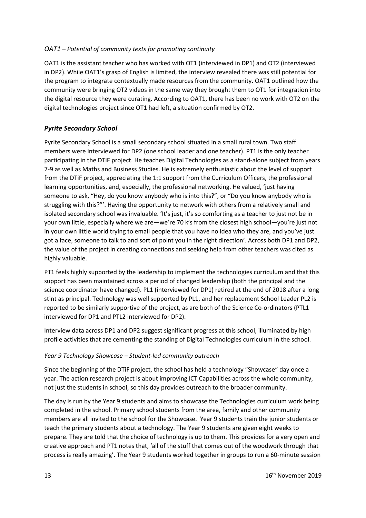#### *OAT1 – Potential of community texts for promoting continuity*

OAT1 is the assistant teacher who has worked with OT1 (interviewed in DP1) and OT2 (interviewed in DP2). While OAT1's grasp of English is limited, the interview revealed there was still potential for the program to integrate contextually made resources from the community. OAT1 outlined how the community were bringing OT2 videos in the same way they brought them to OT1 for integration into the digital resource they were curating. According to OAT1, there has been no work with OT2 on the digital technologies project since OT1 had left, a situation confirmed by OT2.

#### *Pyrite Secondary School*

Pyrite Secondary School is a small secondary school situated in a small rural town. Two staff members were interviewed for DP2 (one school leader and one teacher). PT1 is the only teacher participating in the DTiF project. He teaches Digital Technologies as a stand-alone subject from years 7-9 as well as Maths and Business Studies. He is extremely enthusiastic about the level of support from the DTiF project, appreciating the 1:1 support from the Curriculum Officers, the professional learning opportunities, and, especially, the professional networking. He valued, 'just having someone to ask, "Hey, do you know anybody who is into this?", or "Do you know anybody who is struggling with this?"'. Having the opportunity to network with others from a relatively small and isolated secondary school was invaluable. 'It's just, it's so comforting as a teacher to just not be in your own little, especially where we are—we're 70 k's from the closest high school—you're just not in your own little world trying to email people that you have no idea who they are, and you've just got a face, someone to talk to and sort of point you in the right direction'. Across both DP1 and DP2, the value of the project in creating connections and seeking help from other teachers was cited as highly valuable.

PT1 feels highly supported by the leadership to implement the technologies curriculum and that this support has been maintained across a period of changed leadership (both the principal and the science coordinator have changed). PL1 (interviewed for DP1) retired at the end of 2018 after a long stint as principal. Technology was well supported by PL1, and her replacement School Leader PL2 is reported to be similarly supportive of the project, as are both of the Science Co-ordinators (PTL1 interviewed for DP1 and PTL2 interviewed for DP2).

Interview data across DP1 and DP2 suggest significant progress at this school, illuminated by high profile activities that are cementing the standing of Digital Technologies curriculum in the school.

#### *Year 9 Technology Showcase – Student-led community outreach*

Since the beginning of the DTiF project, the school has held a technology "Showcase" day once a year. The action research project is about improving ICT Capabilities across the whole community, not just the students in school, so this day provides outreach to the broader community.

The day is run by the Year 9 students and aims to showcase the Technologies curriculum work being completed in the school. Primary school students from the area, family and other community members are all invited to the school for the Showcase. Year 9 students train the junior students or teach the primary students about a technology. The Year 9 students are given eight weeks to prepare. They are told that the choice of technology is up to them. This provides for a very open and creative approach and PT1 notes that, 'all of the stuff that comes out of the woodwork through that process is really amazing'. The Year 9 students worked together in groups to run a 60-minute session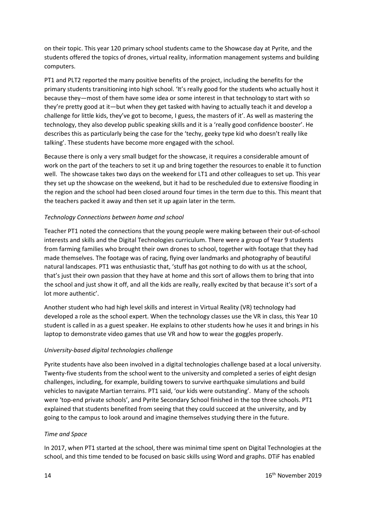on their topic. This year 120 primary school students came to the Showcase day at Pyrite, and the students offered the topics of drones, virtual reality, information management systems and building computers.

PT1 and PLT2 reported the many positive benefits of the project, including the benefits for the primary students transitioning into high school. 'It's really good for the students who actually host it because they—most of them have some idea or some interest in that technology to start with so they're pretty good at it—but when they get tasked with having to actually teach it and develop a challenge for little kids, they've got to become, I guess, the masters of it'. As well as mastering the technology, they also develop public speaking skills and it is a 'really good confidence booster'. He describes this as particularly being the case for the 'techy, geeky type kid who doesn't really like talking'. These students have become more engaged with the school.

Because there is only a very small budget for the showcase, it requires a considerable amount of work on the part of the teachers to set it up and bring together the resources to enable it to function well. The showcase takes two days on the weekend for LT1 and other colleagues to set up. This year they set up the showcase on the weekend, but it had to be rescheduled due to extensive flooding in the region and the school had been closed around four times in the term due to this. This meant that the teachers packed it away and then set it up again later in the term.

#### *Technology Connections between home and school*

Teacher PT1 noted the connections that the young people were making between their out-of-school interests and skills and the Digital Technologies curriculum. There were a group of Year 9 students from farming families who brought their own drones to school, together with footage that they had made themselves. The footage was of racing, flying over landmarks and photography of beautiful natural landscapes. PT1 was enthusiastic that, 'stuff has got nothing to do with us at the school, that's just their own passion that they have at home and this sort of allows them to bring that into the school and just show it off, and all the kids are really, really excited by that because it's sort of a lot more authentic'.

Another student who had high level skills and interest in Virtual Reality (VR) technology had developed a role as the school expert. When the technology classes use the VR in class, this Year 10 student is called in as a guest speaker. He explains to other students how he uses it and brings in his laptop to demonstrate video games that use VR and how to wear the goggles properly.

#### *University-based digital technologies challenge*

Pyrite students have also been involved in a digital technologies challenge based at a local university. Twenty-five students from the school went to the university and completed a series of eight design challenges, including, for example, building towers to survive earthquake simulations and build vehicles to navigate Martian terrains. PT1 said, 'our kids were outstanding'. Many of the schools were 'top-end private schools', and Pyrite Secondary School finished in the top three schools. PT1 explained that students benefited from seeing that they could succeed at the university, and by going to the campus to look around and imagine themselves studying there in the future.

#### *Time and Space*

In 2017, when PT1 started at the school, there was minimal time spent on Digital Technologies at the school, and this time tended to be focused on basic skills using Word and graphs. DTiF has enabled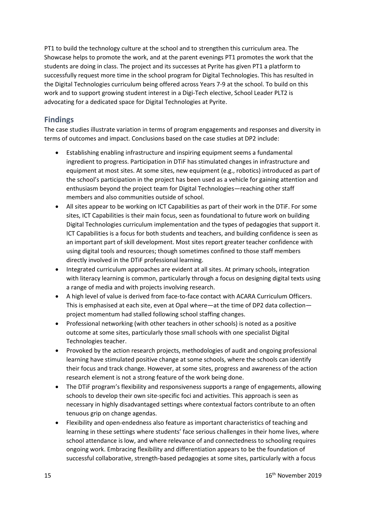PT1 to build the technology culture at the school and to strengthen this curriculum area. The Showcase helps to promote the work, and at the parent evenings PT1 promotes the work that the students are doing in class. The project and its successes at Pyrite has given PT1 a platform to successfully request more time in the school program for Digital Technologies. This has resulted in the Digital Technologies curriculum being offered across Years 7-9 at the school. To build on this work and to support growing student interest in a Digi-Tech elective, School Leader PLT2 is advocating for a dedicated space for Digital Technologies at Pyrite.

#### **Findings**

The case studies illustrate variation in terms of program engagements and responses and diversity in terms of outcomes and impact. Conclusions based on the case studies at DP2 include:

- Establishing enabling infrastructure and inspiring equipment seems a fundamental ingredient to progress. Participation in DTiF has stimulated changes in infrastructure and equipment at most sites. At some sites, new equipment (e.g., robotics) introduced as part of the school's participation in the project has been used as a vehicle for gaining attention and enthusiasm beyond the project team for Digital Technologies—reaching other staff members and also communities outside of school.
- All sites appear to be working on ICT Capabilities as part of their work in the DTiF. For some sites, ICT Capabilities is their main focus, seen as foundational to future work on building Digital Technologies curriculum implementation and the types of pedagogies that support it. ICT Capabilities is a focus for both students and teachers, and building confidence is seen as an important part of skill development. Most sites report greater teacher confidence with using digital tools and resources; though sometimes confined to those staff members directly involved in the DTiF professional learning.
- Integrated curriculum approaches are evident at all sites. At primary schools, integration with literacy learning is common, particularly through a focus on designing digital texts using a range of media and with projects involving research.
- A high level of value is derived from face-to-face contact with ACARA Curriculum Officers. This is emphasised at each site, even at Opal where—at the time of DP2 data collection project momentum had stalled following school staffing changes.
- Professional networking (with other teachers in other schools) is noted as a positive outcome at some sites, particularly those small schools with one specialist Digital Technologies teacher.
- Provoked by the action research projects, methodologies of audit and ongoing professional learning have stimulated positive change at some schools, where the schools can identify their focus and track change. However, at some sites, progress and awareness of the action research element is not a strong feature of the work being done.
- The DTiF program's flexibility and responsiveness supports a range of engagements, allowing schools to develop their own site-specific foci and activities. This approach is seen as necessary in highly disadvantaged settings where contextual factors contribute to an often tenuous grip on change agendas.
- Flexibility and open-endedness also feature as important characteristics of teaching and learning in these settings where students' face serious challenges in their home lives, where school attendance is low, and where relevance of and connectedness to schooling requires ongoing work. Embracing flexibility and differentiation appears to be the foundation of successful collaborative, strength-based pedagogies at some sites, particularly with a focus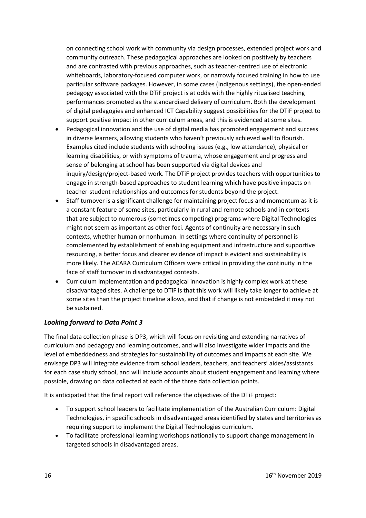on connecting school work with community via design processes, extended project work and community outreach. These pedagogical approaches are looked on positively by teachers and are contrasted with previous approaches, such as teacher-centred use of electronic whiteboards, laboratory-focused computer work, or narrowly focused training in how to use particular software packages. However, in some cases (Indigenous settings), the open-ended pedagogy associated with the DTiF project is at odds with the highly ritualised teaching performances promoted as the standardised delivery of curriculum. Both the development of digital pedagogies and enhanced ICT Capability suggest possibilities for the DTiF project to support positive impact in other curriculum areas, and this is evidenced at some sites.

- Pedagogical innovation and the use of digital media has promoted engagement and success in diverse learners, allowing students who haven't previously achieved well to flourish. Examples cited include students with schooling issues (e.g., low attendance), physical or learning disabilities, or with symptoms of trauma, whose engagement and progress and sense of belonging at school has been supported via digital devices and inquiry/design/project-based work. The DTiF project provides teachers with opportunities to engage in strength-based approaches to student learning which have positive impacts on teacher-student relationships and outcomes for students beyond the project.
- Staff turnover is a significant challenge for maintaining project focus and momentum as it is a constant feature of some sites, particularly in rural and remote schools and in contexts that are subject to numerous (sometimes competing) programs where Digital Technologies might not seem as important as other foci. Agents of continuity are necessary in such contexts, whether human or nonhuman. In settings where continuity of personnel is complemented by establishment of enabling equipment and infrastructure and supportive resourcing, a better focus and clearer evidence of impact is evident and sustainability is more likely. The ACARA Curriculum Officers were critical in providing the continuity in the face of staff turnover in disadvantaged contexts.
- Curriculum implementation and pedagogical innovation is highly complex work at these disadvantaged sites. A challenge to DTiF is that this work will likely take longer to achieve at some sites than the project timeline allows, and that if change is not embedded it may not be sustained.

#### *Looking forward to Data Point 3*

The final data collection phase is DP3, which will focus on revisiting and extending narratives of curriculum and pedagogy and learning outcomes, and will also investigate wider impacts and the level of embeddedness and strategies for sustainability of outcomes and impacts at each site. We envisage DP3 will integrate evidence from school leaders, teachers, and teachers' aides/assistants for each case study school, and will include accounts about student engagement and learning where possible, drawing on data collected at each of the three data collection points.

It is anticipated that the final report will reference the objectives of the DTiF project:

- To support school leaders to facilitate implementation of the Australian Curriculum: Digital Technologies, in specific schools in disadvantaged areas identified by states and territories as requiring support to implement the Digital Technologies curriculum.
- To facilitate professional learning workshops nationally to support change management in targeted schools in disadvantaged areas.